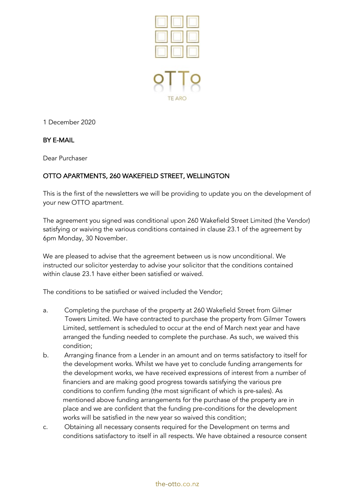

1 December 2020

## BY E-MAIL

Dear Purchaser

## OTTO APARTMENTS, 260 WAKEFIELD STREET, WELLINGTON

This is the first of the newsletters we will be providing to update you on the development of your new OTTO apartment.

The agreement you signed was conditional upon 260 Wakefield Street Limited (the Vendor) satisfying or waiving the various conditions contained in clause 23.1 of the agreement by 6pm Monday, 30 November.

We are pleased to advise that the agreement between us is now unconditional. We instructed our solicitor yesterday to advise your solicitor that the conditions contained within clause 23.1 have either been satisfied or waived.

The conditions to be satisfied or waived included the Vendor;

- a. Completing the purchase of the property at 260 Wakefield Street from Gilmer Towers Limited. We have contracted to purchase the property from Gilmer Towers Limited, settlement is scheduled to occur at the end of March next year and have arranged the funding needed to complete the purchase. As such, we waived this condition;
- b. Arranging finance from a Lender in an amount and on terms satisfactory to itself for the development works. Whilst we have yet to conclude funding arrangements for the development works, we have received expressions of interest from a number of financiers and are making good progress towards satisfying the various pre conditions to confirm funding (the most significant of which is pre-sales). As mentioned above funding arrangements for the purchase of the property are in place and we are confident that the funding pre-conditions for the development works will be satisfied in the new year so waived this condition;
- c. Obtaining all necessary consents required for the Development on terms and conditions satisfactory to itself in all respects. We have obtained a resource consent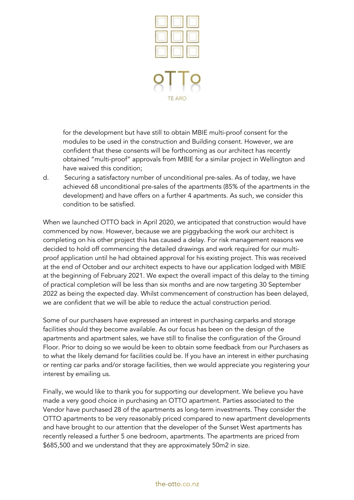

 for the development but have still to obtain MBIE multi-proof consent for the modules to be used in the construction and Building consent. However, we are confident that these consents will be forthcoming as our architect has recently obtained "multi-proof" approvals from MBIE for a similar project in Wellington and have waived this condition;

d. Securing a satisfactory number of unconditional pre-sales. As of today, we have achieved 68 unconditional pre-sales of the apartments (85% of the apartments in the development) and have offers on a further 4 apartments. As such, we consider this condition to be satisfied.

When we launched OTTO back in April 2020, we anticipated that construction would have commenced by now. However, because we are piggybacking the work our architect is completing on his other project this has caused a delay. For risk management reasons we decided to hold off commencing the detailed drawings and work required for our multiproof application until he had obtained approval for his existing project. This was received at the end of October and our architect expects to have our application lodged with MBIE at the beginning of February 2021. We expect the overall impact of this delay to the timing of practical completion will be less than six months and are now targeting 30 September 2022 as being the expected day. Whilst commencement of construction has been delayed, we are confident that we will be able to reduce the actual construction period.

Some of our purchasers have expressed an interest in purchasing carparks and storage facilities should they become available. As our focus has been on the design of the apartments and apartment sales, we have still to finalise the configuration of the Ground Floor. Prior to doing so we would be keen to obtain some feedback from our Purchasers as to what the likely demand for facilities could be. If you have an interest in either purchasing or renting car parks and/or storage facilities, then we would appreciate you registering your interest by emailing us.

Finally, we would like to thank you for supporting our development. We believe you have made a very good choice in purchasing an OTTO apartment. Parties associated to the Vendor have purchased 28 of the apartments as long-term investments. They consider the OTTO apartments to be very reasonably priced compared to new apartment developments and have brought to our attention that the developer of the Sunset West apartments has recently released a further 5 one bedroom, apartments. The apartments are priced from \$685,500 and we understand that they are approximately 50m2 in size.